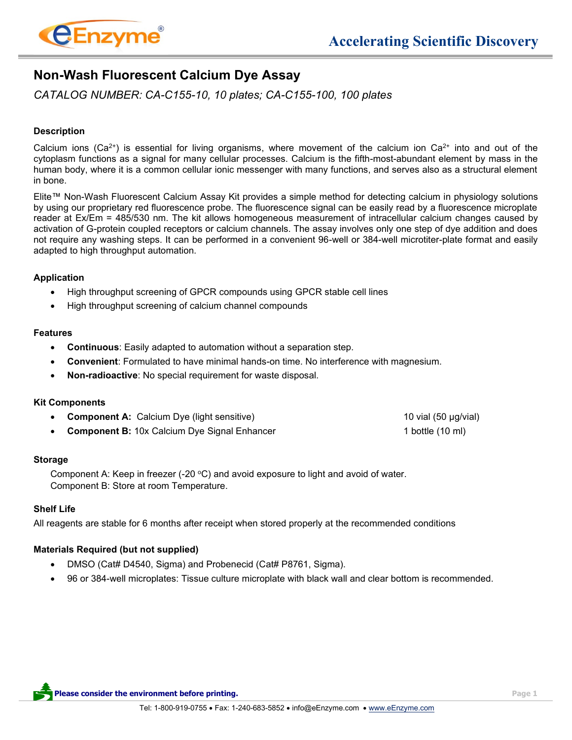

# **Non-Wash Fluorescent Calcium Dye Assay**

*CATALOG NUMBER: CA-C155-10, 10 plates; CA-C155-100, 100 plates*

# **Description**

Calcium ions (Ca<sup>2+</sup>) is essential for living organisms, where movement of the calcium ion Ca<sup>2+</sup> into and out of the cytoplasm functions as a signal for many cellular processes. Calcium is the fifth-most-abundant element by mass in the human body, where it is a common cellular ionic messenger with many functions, and serves also as a structural element in bone.

Elite™ Non-Wash Fluorescent Calcium Assay Kit provides a simple method for detecting calcium in physiology solutions by using our proprietary red fluorescence probe. The fluorescence signal can be easily read by a fluorescence microplate reader at Ex/Em = 485/530 nm. The kit allows homogeneous measurement of intracellular calcium changes caused by activation of G-protein coupled receptors or calcium channels. The assay involves only one step of dye addition and does not require any washing steps. It can be performed in a convenient 96-well or 384-well microtiter-plate format and easily adapted to high throughput automation.

### **Application**

- High throughput screening of GPCR compounds using GPCR stable cell lines
- High throughput screening of calcium channel compounds

### **Features**

- **Continuous**: Easily adapted to automation without a separation step.
- **Convenient**: Formulated to have minimal hands-on time. No interference with magnesium.
- **Non-radioactive**: No special requirement for waste disposal.

### **Kit Components**

- **Component A:** Calcium Dye (light sensitive) 10 vial (50 µg/vial)
	- **Component B:** 10x Calcium Dye Signal Enhancer 1 **1 bottle (10 ml)**

### **Storage**

Component A: Keep in freezer (-20 $\degree$ C) and avoid exposure to light and avoid of water. Component B: Store at room Temperature.

# **Shelf Life**

All reagents are stable for 6 months after receipt when stored properly at the recommended conditions

# **Materials Required (but not supplied)**

- DMSO (Cat# D4540, Sigma) and Probenecid (Cat# P8761, Sigma).
- 96 or 384-well microplates: Tissue culture microplate with black wall and clear bottom is recommended.

**Please consider the environment before printing. Page 1**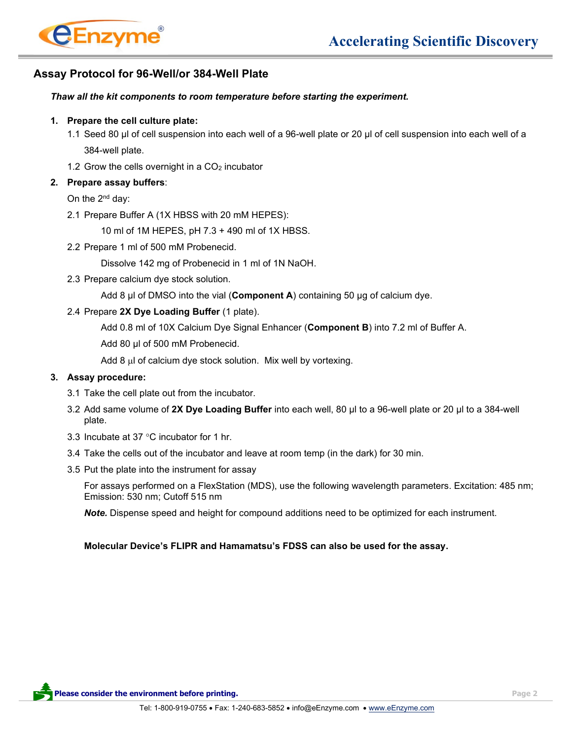

# **Assay Protocol for 96-Well/or 384-Well Plate**

### *Thaw all the kit components to room temperature before starting the experiment.*

### **1. Prepare the cell culture plate:**

- 1.1 Seed 80 µl of cell suspension into each well of a 96-well plate or 20 µl of cell suspension into each well of a 384-well plate.
- 1.2 Grow the cells overnight in a  $CO<sub>2</sub>$  incubator

### **2. Prepare assay buffers**:

On the 2nd day:

2.1 Prepare Buffer A (1X HBSS with 20 mM HEPES):

10 ml of 1M HEPES, pH 7.3 + 490 ml of 1X HBSS.

2.2 Prepare 1 ml of 500 mM Probenecid.

Dissolve 142 mg of Probenecid in 1 ml of 1N NaOH.

2.3 Prepare calcium dye stock solution.

Add 8 µl of DMSO into the vial (**Component A**) containing 50 µg of calcium dye.

### 2.4 Prepare **2X Dye Loading Buffer** (1 plate).

Add 0.8 ml of 10X Calcium Dye Signal Enhancer (**Component B**) into 7.2 ml of Buffer A.

Add 80 µl of 500 mM Probenecid.

Add  $8 \mu$  of calcium dye stock solution. Mix well by vortexing.

### **3. Assay procedure:**

- 3.1 Take the cell plate out from the incubator.
- 3.2 Add same volume of **2X Dye Loading Buffer** into each well, 80 µl to a 96-well plate or 20 µl to a 384-well plate.
- 3.3 Incubate at 37 $\degree$ C incubator for 1 hr.
- 3.4 Take the cells out of the incubator and leave at room temp (in the dark) for 30 min.
- 3.5 Put the plate into the instrument for assay

For assays performed on a FlexStation (MDS), use the following wavelength parameters. Excitation: 485 nm; Emission: 530 nm; Cutoff 515 nm

*Note.* Dispense speed and height for compound additions need to be optimized for each instrument.

# **Molecular Device's FLIPR and Hamamatsu's FDSS can also be used for the assay.**

**Please consider the environment before printing. Page 2**